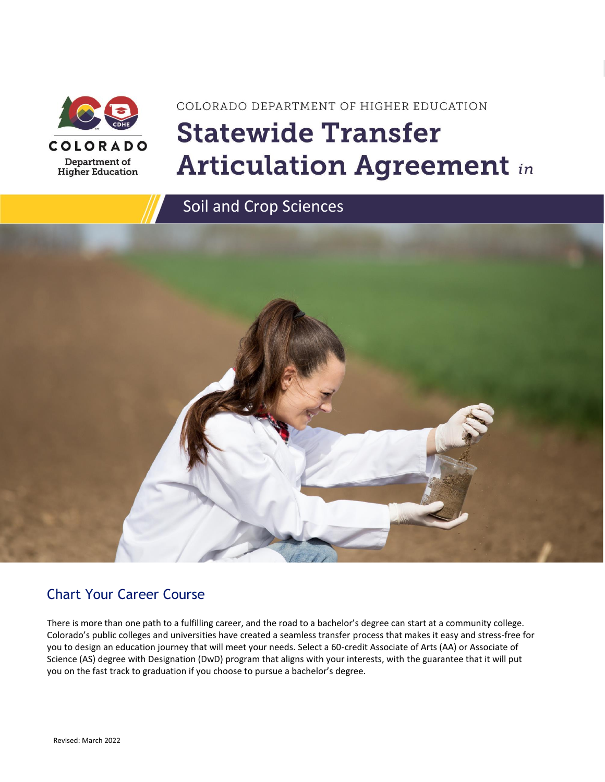

# COLORADO DEPARTMENT OF HIGHER EDUCATION **Statewide Transfer Articulation Agreement in**



### Chart Your Career Course

There is more than one path to a fulfilling career, and the road to a bachelor's degree can start at a community college. Colorado's public colleges and universities have created a seamless transfer process that makes it easy and stress-free for you to design an education journey that will meet your needs. Select a 60-credit Associate of Arts (AA) or Associate of Science (AS) degree with Designation (DwD) program that aligns with your interests, with the guarantee that it will put you on the fast track to graduation if you choose to pursue a bachelor's degree.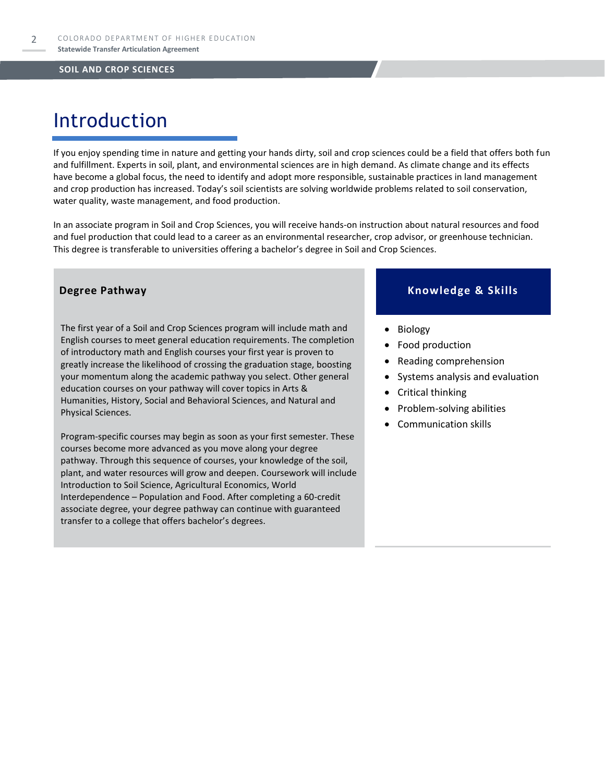# Introduction

If you enjoy spending time in nature and getting your hands dirty, soil and crop sciences could be a field that offers both fun and fulfillment. Experts in soil, plant, and environmental sciences are in high demand. As climate change and its effects have become a global focus, the need to identify and adopt more responsible, sustainable practices in land management and crop production has increased. Today's soil scientists are solving worldwide problems related to soil conservation, water quality, waste management, and food production.

In an associate program in Soil and Crop Sciences, you will receive hands-on instruction about natural resources and food and fuel production that could lead to a career as an environmental researcher, crop advisor, or greenhouse technician. This degree is transferable to universities offering a bachelor's degree in Soil and Crop Sciences.

The first year of a Soil and Crop Sciences program will include math and English courses to meet general education requirements. The completion of introductory math and English courses your first year is proven to greatly increase the likelihood of crossing the graduation stage, boosting your momentum along the academic pathway you select. Other general education courses on your pathway will cover topics in Arts & Humanities, History, Social and Behavioral Sciences, and Natural and Physical Sciences.

Program-specific courses may begin as soon as your first semester. These courses become more advanced as you move along your degree pathway. Through this sequence of courses, your knowledge of the soil, plant, and water resources will grow and deepen. Coursework will include Introduction to Soil Science, Agricultural Economics, World Interdependence – Population and Food. After completing a 60-credit associate degree, your degree pathway can continue with guaranteed transfer to a college that offers bachelor's degrees.

#### **Degree Pathway Knowledge & Skills**

- Biology
- Food production
- Reading comprehension
- Systems analysis and evaluation
- Critical thinking
- Problem-solving abilities
- Communication skills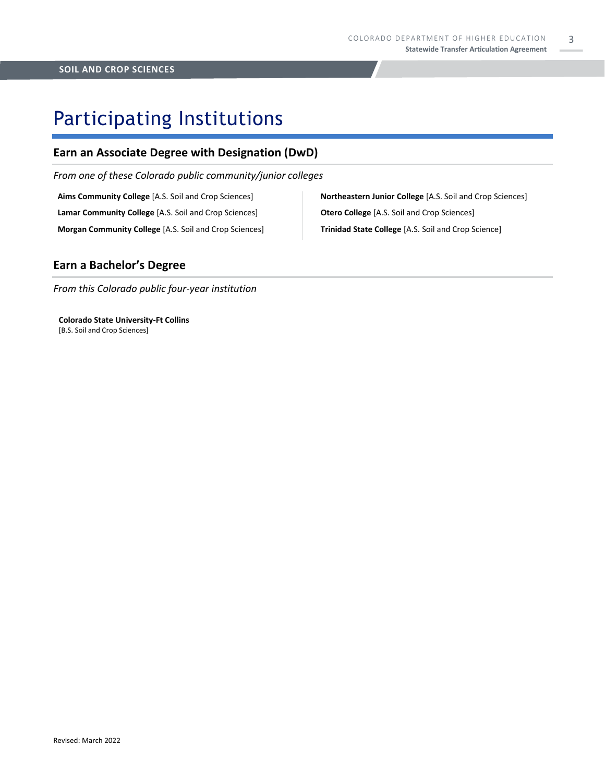3

### Participating Institutions

#### **Earn an Associate Degree with Designation (DwD)**

*From one of these Colorado public community/junior colleges*

**Aims Community College** [A.S. Soil and Crop Sciences] **Lamar Community College** [A.S. Soil and Crop Sciences] **Morgan Community College** [A.S. Soil and Crop Sciences] **Northeastern Junior College** [A.S. Soil and Crop Sciences] **Otero College** [A.S. Soil and Crop Sciences] **Trinidad State College** [A.S. Soil and Crop Science]

#### **Earn a Bachelor's Degree**

*From this Colorado public four-year institution*

**Colorado State University-Ft Collins**  [B.S. Soil and Crop Sciences]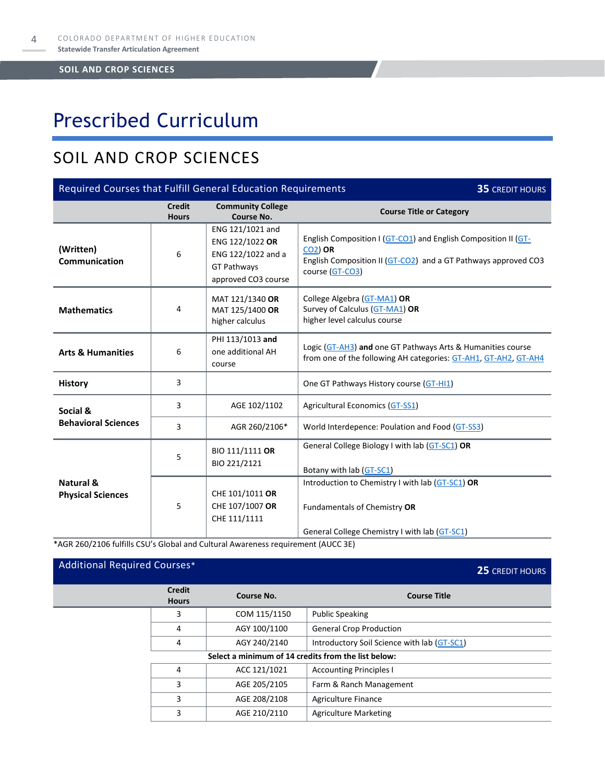# Prescribed Curriculum

### SOIL AND CROP SCIENCES

| Required Courses that Fulfill General Education Requirements<br><b>35 CREDIT HOURS</b> |                               |                                                                                                        |                                                                                                                                                                       |  |
|----------------------------------------------------------------------------------------|-------------------------------|--------------------------------------------------------------------------------------------------------|-----------------------------------------------------------------------------------------------------------------------------------------------------------------------|--|
|                                                                                        | <b>Credit</b><br><b>Hours</b> | <b>Community College</b><br>Course No.                                                                 | <b>Course Title or Category</b>                                                                                                                                       |  |
| (Written)<br><b>Communication</b>                                                      | 6                             | ENG 121/1021 and<br>ENG 122/1022 OR<br>ENG 122/1022 and a<br><b>GT Pathways</b><br>approved CO3 course | English Composition I (GT-CO1) and English Composition II (GT-<br><b>CO2) OR</b><br>English Composition II (GT-CO2) and a GT Pathways approved CO3<br>course (GT-CO3) |  |
| <b>Mathematics</b>                                                                     | 4                             | MAT 121/1340 OR<br>MAT 125/1400 OR<br>higher calculus                                                  | College Algebra (GT-MA1) OR<br>Survey of Calculus (GT-MA1) OR<br>higher level calculus course                                                                         |  |
| <b>Arts &amp; Humanities</b>                                                           | 6                             | PHI 113/1013 and<br>one additional AH<br>course                                                        | Logic (GT-AH3) and one GT Pathways Arts & Humanities course<br>from one of the following AH categories: GT-AH1, GT-AH2, GT-AH4                                        |  |
| <b>History</b>                                                                         | 3                             |                                                                                                        | One GT Pathways History course (GT-HI1)                                                                                                                               |  |
| Social &                                                                               | 3                             | AGE 102/1102                                                                                           | Agricultural Economics (GT-SS1)                                                                                                                                       |  |
| <b>Behavioral Sciences</b>                                                             | 3                             | AGR 260/2106*                                                                                          | World Interdepence: Poulation and Food (GT-SS3)                                                                                                                       |  |
|                                                                                        | 5                             | BIO 111/1111 OR<br>BIO 221/2121                                                                        | General College Biology I with lab (GT-SC1) OR<br>Botany with lab (GT-SC1)                                                                                            |  |
| Natural &<br><b>Physical Sciences</b>                                                  | 5                             | CHE 101/1011 OR<br>CHE 107/1007 OR<br>CHE 111/1111                                                     | Introduction to Chemistry I with lab (GT-SC1) OR<br>Fundamentals of Chemistry OR<br>General College Chemistry I with lab (GT-SC1)                                     |  |

\*AGR 260/2106 fulfills CSU's Global and Cultural Awareness requirement (AUCC 3E)

### Additional Required Courses\* **25** CREDIT HOURS **Credit Hours Course No. Course Title** 3 COM 115/1150 Public Speaking 4 AGY 100/1100 General Crop Production 4 AGY 240/2140 | Introductory Soil Science with lab [\(GT-SC1\)](https://highered.colorado.gov/Academics/Transfers/gtPathways/Curriculum/Courses.aspx?cat=GT-SC1&cat=GT-SC1) **Select a minimum of 14 credits from the list below:** 4 ACC 121/1021 Accounting Principles I 3 | AGE 205/2105 | Farm & Ranch Management 3 AGE 208/2108 | Agriculture Finance 3 AGE 210/2110 | Agriculture Marketing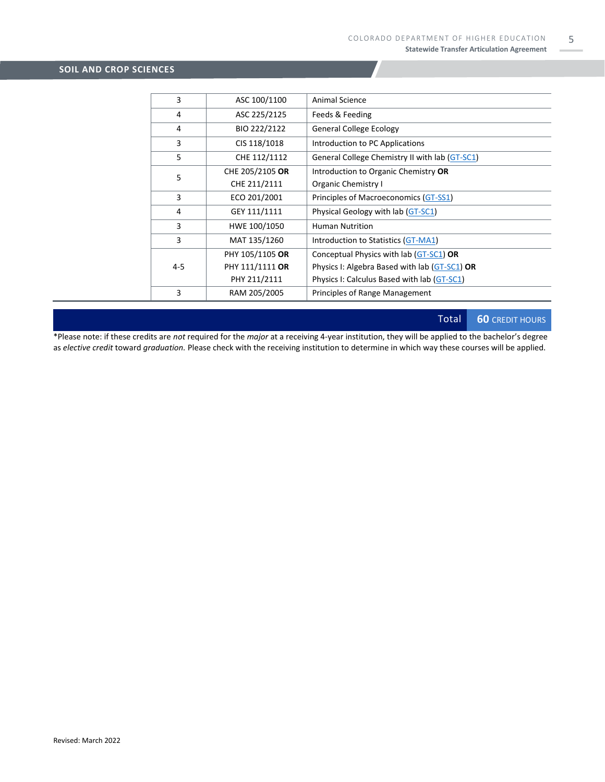| 3       | ASC 100/1100    | Animal Science                                 |
|---------|-----------------|------------------------------------------------|
| 4       | ASC 225/2125    | Feeds & Feeding                                |
| 4       | BIO 222/2122    | <b>General College Ecology</b>                 |
| 3       | CIS 118/1018    | Introduction to PC Applications                |
| 5       | CHE 112/1112    | General College Chemistry II with lab (GT-SC1) |
| 5       | CHE 205/2105 OR | Introduction to Organic Chemistry OR           |
|         | CHE 211/2111    | Organic Chemistry I                            |
| 3       | ECO 201/2001    | Principles of Macroeconomics (GT-SS1)          |
| 4       | GEY 111/1111    | Physical Geology with lab (GT-SC1)             |
| 3       | HWE 100/1050    | <b>Human Nutrition</b>                         |
| 3       | MAT 135/1260    | Introduction to Statistics (GT-MA1)            |
| $4 - 5$ | PHY 105/1105 OR | Conceptual Physics with lab (GT-SC1) OR        |
|         | PHY 111/1111 OR | Physics I: Algebra Based with lab (GT-SC1) OR  |
|         | PHY 211/2111    | Physics I: Calculus Based with lab (GT-SC1)    |
| 3       | RAM 205/2005    | Principles of Range Management                 |

Total **60** CREDIT HOURS

\*Please note: if these credits are *not* required for the *major* at a receiving 4-year institution, they will be applied to the bachelor's degree as *elective credit* toward *graduation.* Please check with the receiving institution to determine in which way these courses will be applied.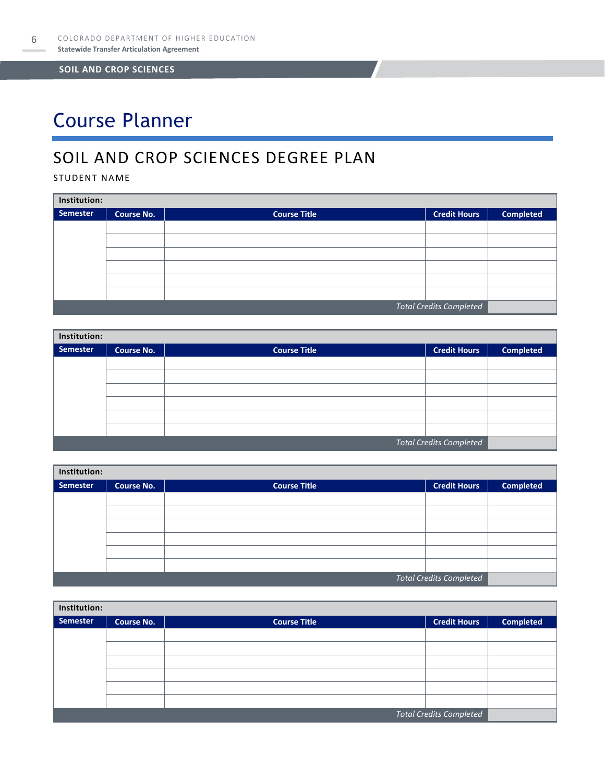# Course Planner

### SOIL AND CROP SCIENCES DEGREE PLAN

STUDENT NAME

| Institution:                   |                   |                     |                     |                  |  |
|--------------------------------|-------------------|---------------------|---------------------|------------------|--|
| Semester                       | <b>Course No.</b> | <b>Course Title</b> | <b>Credit Hours</b> | <b>Completed</b> |  |
|                                |                   |                     |                     |                  |  |
|                                |                   |                     |                     |                  |  |
|                                |                   |                     |                     |                  |  |
|                                |                   |                     |                     |                  |  |
|                                |                   |                     |                     |                  |  |
|                                |                   |                     |                     |                  |  |
| <b>Total Credits Completed</b> |                   |                     |                     |                  |  |

| Institution:                   |                   |                     |                     |                  |  |
|--------------------------------|-------------------|---------------------|---------------------|------------------|--|
| Semester                       | <b>Course No.</b> | <b>Course Title</b> | <b>Credit Hours</b> | <b>Completed</b> |  |
|                                |                   |                     |                     |                  |  |
|                                |                   |                     |                     |                  |  |
|                                |                   |                     |                     |                  |  |
|                                |                   |                     |                     |                  |  |
|                                |                   |                     |                     |                  |  |
|                                |                   |                     |                     |                  |  |
| <b>Total Credits Completed</b> |                   |                     |                     |                  |  |

| Institution: |                   |                     |                                |                  |  |  |
|--------------|-------------------|---------------------|--------------------------------|------------------|--|--|
| Semester     | <b>Course No.</b> | <b>Course Title</b> | <b>Credit Hours</b>            | <b>Completed</b> |  |  |
|              |                   |                     |                                |                  |  |  |
|              |                   |                     |                                |                  |  |  |
|              |                   |                     |                                |                  |  |  |
|              |                   |                     |                                |                  |  |  |
|              |                   |                     |                                |                  |  |  |
|              |                   |                     |                                |                  |  |  |
|              |                   |                     | <b>Total Credits Completed</b> |                  |  |  |

| Institution:                   |                   |                     |                     |                  |  |
|--------------------------------|-------------------|---------------------|---------------------|------------------|--|
| Semester                       | <b>Course No.</b> | <b>Course Title</b> | <b>Credit Hours</b> | <b>Completed</b> |  |
|                                |                   |                     |                     |                  |  |
|                                |                   |                     |                     |                  |  |
|                                |                   |                     |                     |                  |  |
|                                |                   |                     |                     |                  |  |
|                                |                   |                     |                     |                  |  |
|                                |                   |                     |                     |                  |  |
| <b>Total Credits Completed</b> |                   |                     |                     |                  |  |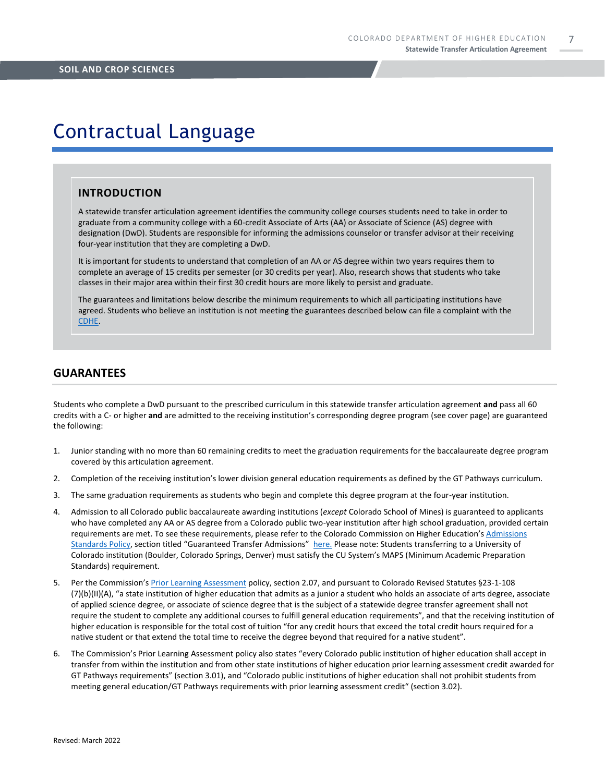7

### Contractual Language

#### **INTRODUCTION**

A statewide transfer articulation agreement identifies the community college courses students need to take in order to graduate from a community college with a 60-credit Associate of Arts (AA) or Associate of Science (AS) degree with designation (DwD). Students are responsible for informing the admissions counselor or transfer advisor at their receiving four-year institution that they are completing a DwD.

It is important for students to understand that completion of an AA or AS degree within two years requires them to complete an average of 15 credits per semester (or 30 credits per year). Also, research shows that students who take classes in their major area within their first 30 credit hours are more likely to persist and graduate.

The guarantees and limitations below describe the minimum requirements to which all participating institutions have agreed. Students who believe an institution is not meeting the guarantees described below can file a complaint with the [CDHE.](https://highered.colorado.gov/filing-student-complaint)

#### **GUARANTEES**

Students who complete a DwD pursuant to the prescribed curriculum in this statewide transfer articulation agreement **and** pass all 60 credits with a C- or higher **and** are admitted to the receiving institution's corresponding degree program (see cover page) are guaranteed the following:

- 1. Junior standing with no more than 60 remaining credits to meet the graduation requirements for the baccalaureate degree program covered by this articulation agreement.
- 2. Completion of the receiving institution's lower division general education requirements as defined by the GT Pathways curriculum.
- 3. The same graduation requirements as students who begin and complete this degree program at the four-year institution.
- 4. Admission to all Colorado public baccalaureate awarding institutions (*except* Colorado School of Mines) is guaranteed to applicants who have completed any AA or AS degree from a Colorado public two-year institution after high school graduation, provided certain requirements are met. To see these requirements, please refer to the Colorado Commission on Higher Education's [Admissions](https://highered.colorado.gov/sites/highered/files/2020-03/i-partf_0.pdf)  [Standards Policy](https://highered.colorado.gov/sites/highered/files/2020-03/i-partf_0.pdf), section titled "Guaranteed Transfer Admissions" [here.](https://highered.colorado.gov/educators/policy-funding/cche-policies-procedures) Please note: Students transferring to a University of Colorado institution (Boulder, Colorado Springs, Denver) must satisfy the CU System's MAPS (Minimum Academic Preparation Standards) requirement.
- 5. Per the Commission's [Prior Learning Assessment](https://highered.colorado.gov/sites/highered/files/2020-03/i-partx.pdf) policy, section 2.07, and pursuant to Colorado Revised Statutes §23-1-108 (7)(b)(II)(A), "a state institution of higher education that admits as a junior a student who holds an associate of arts degree, associate of applied science degree, or associate of science degree that is the subject of a statewide degree transfer agreement shall not require the student to complete any additional courses to fulfill general education requirements", and that the receiving institution of higher education is responsible for the total cost of tuition "for any credit hours that exceed the total credit hours required for a native student or that extend the total time to receive the degree beyond that required for a native student".
- 6. The Commission's Prior Learning Assessment policy also states "every Colorado public institution of higher education shall accept in transfer from within the institution and from other state institutions of higher education prior learning assessment credit awarded for GT Pathways requirements" (section 3.01), and "Colorado public institutions of higher education shall not prohibit students from meeting general education/GT Pathways requirements with prior learning assessment credit" (section 3.02).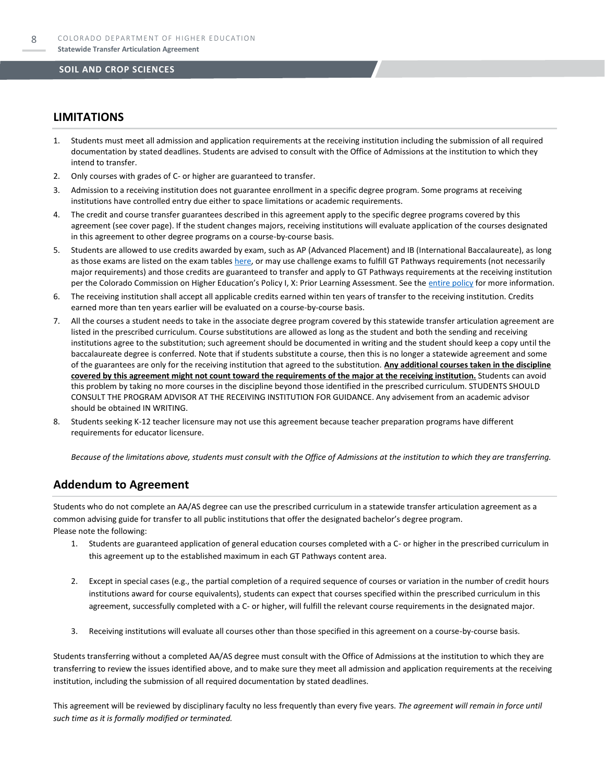#### **LIMITATIONS**

- 1. Students must meet all admission and application requirements at the receiving institution including the submission of all required documentation by stated deadlines. Students are advised to consult with the Office of Admissions at the institution to which they intend to transfer.
- 2. Only courses with grades of C- or higher are guaranteed to transfer.
- 3. Admission to a receiving institution does not guarantee enrollment in a specific degree program. Some programs at receiving institutions have controlled entry due either to space limitations or academic requirements.
- 4. The credit and course transfer guarantees described in this agreement apply to the specific degree programs covered by this agreement (see cover page). If the student changes majors, receiving institutions will evaluate application of the courses designated in this agreement to other degree programs on a course-by-course basis.
- 5. Students are allowed to use credits awarded by exam, such as AP (Advanced Placement) and IB (International Baccalaureate), as long as those exams are listed on the exam table[s here,](https://highered.colorado.gov/get-credit-for-what-you-already-know) or may use challenge exams to fulfill GT Pathways requirements (not necessarily major requirements) and those credits are guaranteed to transfer and apply to GT Pathways requirements at the receiving institution per the Colorado Commission on Higher Education's Policy I, X: Prior Learning Assessment. See the [entire policy](https://highered.colorado.gov/sites/highered/files/2020-03/i-partx.pdf) for more information.
- 6. The receiving institution shall accept all applicable credits earned within ten years of transfer to the receiving institution. Credits earned more than ten years earlier will be evaluated on a course-by-course basis.
- 7. All the courses a student needs to take in the associate degree program covered by this statewide transfer articulation agreement are listed in the prescribed curriculum. Course substitutions are allowed as long as the student and both the sending and receiving institutions agree to the substitution; such agreement should be documented in writing and the student should keep a copy until the baccalaureate degree is conferred. Note that if students substitute a course, then this is no longer a statewide agreement and some of the guarantees are only for the receiving institution that agreed to the substitution. **Any additional courses taken in the discipline covered by this agreement might not count toward the requirements of the major at the receiving institution.** Students can avoid this problem by taking no more courses in the discipline beyond those identified in the prescribed curriculum. STUDENTS SHOULD CONSULT THE PROGRAM ADVISOR AT THE RECEIVING INSTITUTION FOR GUIDANCE. Any advisement from an academic advisor should be obtained IN WRITING.
- Students seeking K-12 teacher licensure may not use this agreement because teacher preparation programs have different requirements for educator licensure.

*Because of the limitations above, students must consult with the Office of Admissions at the institution to which they are transferring.*

#### **Addendum to Agreement**

Students who do not complete an AA/AS degree can use the prescribed curriculum in a statewide transfer articulation agreement as a common advising guide for transfer to all public institutions that offer the designated bachelor's degree program. Please note the following:

- 1. Students are guaranteed application of general education courses completed with a C- or higher in the prescribed curriculum in this agreement up to the established maximum in each GT Pathways content area.
- 2. Except in special cases (e.g., the partial completion of a required sequence of courses or variation in the number of credit hours institutions award for course equivalents), students can expect that courses specified within the prescribed curriculum in this agreement, successfully completed with a C- or higher, will fulfill the relevant course requirements in the designated major.
- 3. Receiving institutions will evaluate all courses other than those specified in this agreement on a course-by-course basis.

Students transferring without a completed AA/AS degree must consult with the Office of Admissions at the institution to which they are transferring to review the issues identified above, and to make sure they meet all admission and application requirements at the receiving institution, including the submission of all required documentation by stated deadlines.

This agreement will be reviewed by disciplinary faculty no less frequently than every five years. *The agreement will remain in force until such time as it is formally modified or terminated.*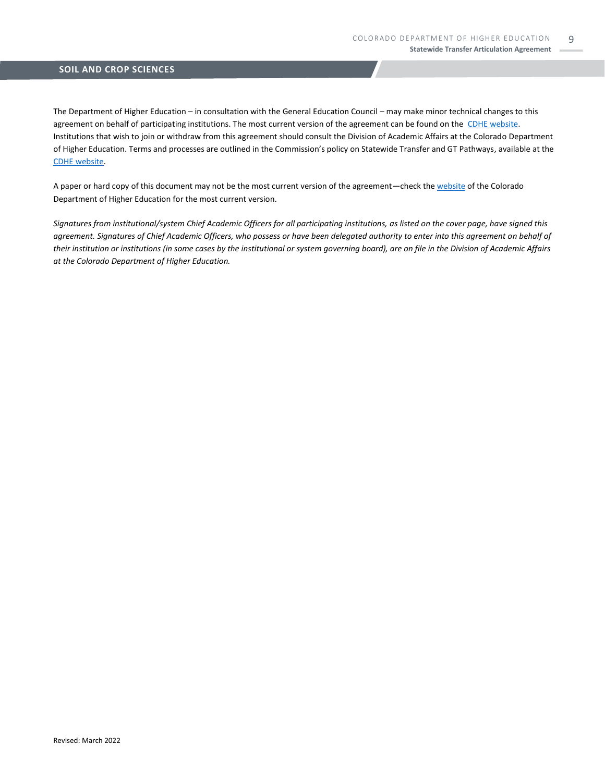The Department of Higher Education – in consultation with the General Education Council – may make minor technical changes to this agreement on behalf of participating institutions. The most current version of the agreement can be found on the [CDHE website.](https://highered.colorado.gov/transfer-degrees) Institutions that wish to join or withdraw from this agreement should consult the Division of Academic Affairs at the Colorado Department of Higher Education. Terms and processes are outlined in the Commission's policy on Statewide Transfer and GT Pathways, available at the [CDHE website.](https://highered.colorado.gov/educators/policy-funding/general-education-ge-council/gtpathways/transfer-agreements)

A paper or hard copy of this document may not be the most current version of the agreement—check th[e website](https://highered.colorado.gov/transfer-degrees) of the Colorado Department of Higher Education for the most current version.

*Signatures from institutional/system Chief Academic Officers for all participating institutions, as listed on the cover page, have signed this agreement. Signatures of Chief Academic Officers, who possess or have been delegated authority to enter into this agreement on behalf of their institution or institutions (in some cases by the institutional or system governing board), are on file in the Division of Academic Affairs at the Colorado Department of Higher Education.*